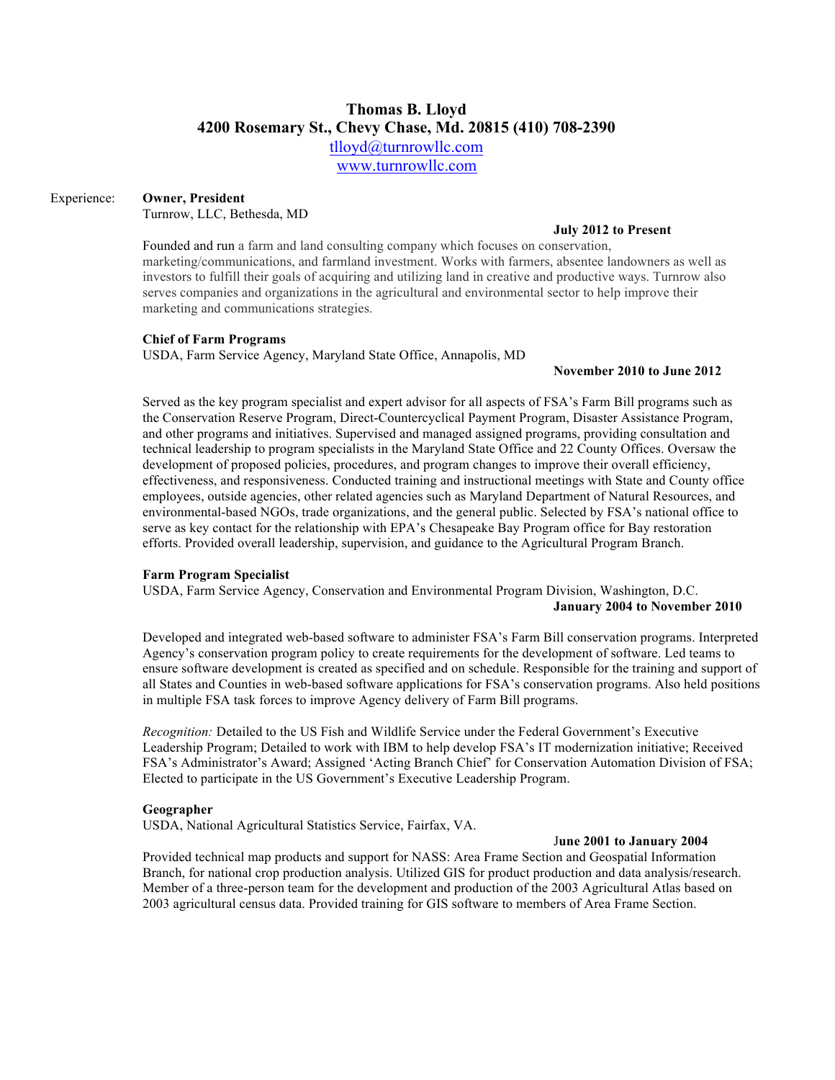# **Thomas B. Lloyd 4200 Rosemary St., Chevy Chase, Md. 20815 (410) 708-2390**

tlloyd@turnrowllc.com

www.turnrowllc.com

# Experience: **Owner, President**

Turnrow, LLC, Bethesda, MD

#### **July 2012 to Present**

Founded and run a farm and land consulting company which focuses on conservation, marketing/communications, and farmland investment. Works with farmers, absentee landowners as well as investors to fulfill their goals of acquiring and utilizing land in creative and productive ways. Turnrow also serves companies and organizations in the agricultural and environmental sector to help improve their marketing and communications strategies.

# **Chief of Farm Programs**

USDA, Farm Service Agency, Maryland State Office, Annapolis, MD

# **November 2010 to June 2012**

Served as the key program specialist and expert advisor for all aspects of FSA's Farm Bill programs such as the Conservation Reserve Program, Direct-Countercyclical Payment Program, Disaster Assistance Program, and other programs and initiatives. Supervised and managed assigned programs, providing consultation and technical leadership to program specialists in the Maryland State Office and 22 County Offices. Oversaw the development of proposed policies, procedures, and program changes to improve their overall efficiency, effectiveness, and responsiveness. Conducted training and instructional meetings with State and County office employees, outside agencies, other related agencies such as Maryland Department of Natural Resources, and environmental-based NGOs, trade organizations, and the general public. Selected by FSA's national office to serve as key contact for the relationship with EPA's Chesapeake Bay Program office for Bay restoration efforts. Provided overall leadership, supervision, and guidance to the Agricultural Program Branch.

# **Farm Program Specialist**

USDA, Farm Service Agency, Conservation and Environmental Program Division, Washington, D.C. **January 2004 to November 2010**

Developed and integrated web-based software to administer FSA's Farm Bill conservation programs. Interpreted Agency's conservation program policy to create requirements for the development of software. Led teams to ensure software development is created as specified and on schedule. Responsible for the training and support of all States and Counties in web-based software applications for FSA's conservation programs. Also held positions in multiple FSA task forces to improve Agency delivery of Farm Bill programs.

*Recognition:* Detailed to the US Fish and Wildlife Service under the Federal Government's Executive Leadership Program; Detailed to work with IBM to help develop FSA's IT modernization initiative; Received FSA's Administrator's Award; Assigned 'Acting Branch Chief' for Conservation Automation Division of FSA; Elected to participate in the US Government's Executive Leadership Program.

# **Geographer**

USDA, National Agricultural Statistics Service, Fairfax, VA.

# J**une 2001 to January 2004**

Provided technical map products and support for NASS: Area Frame Section and Geospatial Information Branch, for national crop production analysis. Utilized GIS for product production and data analysis/research. Member of a three-person team for the development and production of the 2003 Agricultural Atlas based on 2003 agricultural census data. Provided training for GIS software to members of Area Frame Section.